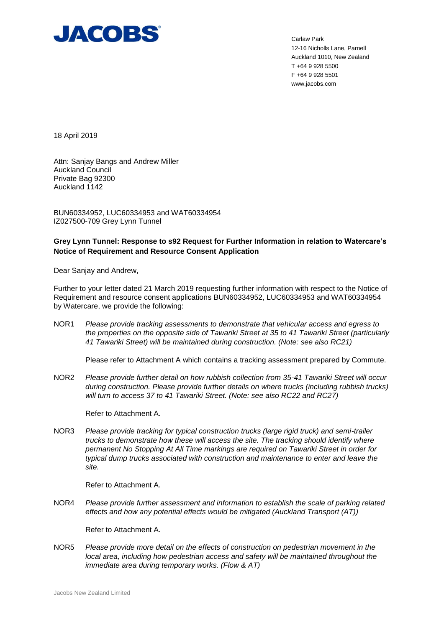

Carlaw Park 12-16 Nicholls Lane, Parnell Auckland 1010, New Zealand T +64 9 928 5500 F +64 9 928 5501 www.jacobs.com

18 April 2019

Attn: Sanjay Bangs and Andrew Miller Auckland Council Private Bag 92300 Auckland 1142

BUN60334952, LUC60334953 and WAT60334954 IZ027500-709 Grey Lynn Tunnel

# **Grey Lynn Tunnel: Response to s92 Request for Further Information in relation to Watercare's Notice of Requirement and Resource Consent Application**

Dear Sanjay and Andrew,

Further to your letter dated 21 March 2019 requesting further information with respect to the Notice of Requirement and resource consent applications BUN60334952, LUC60334953 and WAT60334954 by Watercare, we provide the following:

NOR1 *Please provide tracking assessments to demonstrate that vehicular access and egress to the properties on the opposite side of Tawariki Street at 35 to 41 Tawariki Street (particularly 41 Tawariki Street) will be maintained during construction. (Note: see also RC21)*

Please refer to Attachment A which contains a tracking assessment prepared by Commute.

NOR2 *Please provide further detail on how rubbish collection from 35-41 Tawariki Street will occur during construction. Please provide further details on where trucks (including rubbish trucks) will turn to access 37 to 41 Tawariki Street. (Note: see also RC22 and RC27)*

Refer to Attachment A.

NOR3 *Please provide tracking for typical construction trucks (large rigid truck) and semi-trailer trucks to demonstrate how these will access the site. The tracking should identify where permanent No Stopping At All Time markings are required on Tawariki Street in order for typical dump trucks associated with construction and maintenance to enter and leave the site.*

Refer to Attachment A.

NOR4 *Please provide further assessment and information to establish the scale of parking related effects and how any potential effects would be mitigated (Auckland Transport (AT))*

Refer to Attachment A.

NOR5 *Please provide more detail on the effects of construction on pedestrian movement in the local area, including how pedestrian access and safety will be maintained throughout the immediate area during temporary works. (Flow & AT)*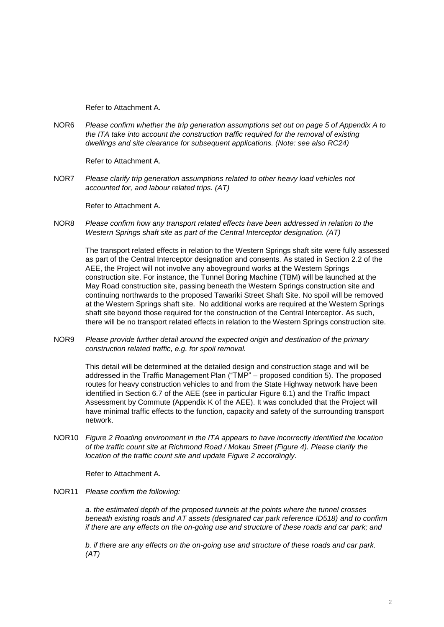Refer to Attachment A.

NOR6 *Please confirm whether the trip generation assumptions set out on page 5 of Appendix A to the ITA take into account the construction traffic required for the removal of existing dwellings and site clearance for subsequent applications. (Note: see also RC24)*

Refer to Attachment A.

NOR7 *Please clarify trip generation assumptions related to other heavy load vehicles not accounted for, and labour related trips. (AT)*

Refer to Attachment A.

NOR8 *Please confirm how any transport related effects have been addressed in relation to the Western Springs shaft site as part of the Central Interceptor designation. (AT)*

The transport related effects in relation to the Western Springs shaft site were fully assessed as part of the Central Interceptor designation and consents. As stated in Section 2.2 of the AEE, the Project will not involve any aboveground works at the Western Springs construction site. For instance, the Tunnel Boring Machine (TBM) will be launched at the May Road construction site, passing beneath the Western Springs construction site and continuing northwards to the proposed Tawariki Street Shaft Site. No spoil will be removed at the Western Springs shaft site. No additional works are required at the Western Springs shaft site beyond those required for the construction of the Central Interceptor. As such, there will be no transport related effects in relation to the Western Springs construction site.

NOR9 *Please provide further detail around the expected origin and destination of the primary construction related traffic, e.g. for spoil removal.*

This detail will be determined at the detailed design and construction stage and will be addressed in the Traffic Management Plan ("TMP" – proposed condition 5). The proposed routes for heavy construction vehicles to and from the State Highway network have been identified in Section 6.7 of the AEE (see in particular Figure 6.1) and the Traffic Impact Assessment by Commute (Appendix K of the AEE). It was concluded that the Project will have minimal traffic effects to the function, capacity and safety of the surrounding transport network.

NOR10 *Figure 2 Roading environment in the ITA appears to have incorrectly identified the location of the traffic count site at Richmond Road / Mokau Street (Figure 4). Please clarify the location of the traffic count site and update Figure 2 accordingly.*

Refer to Attachment A.

NOR11 *Please confirm the following:*

*a. the estimated depth of the proposed tunnels at the points where the tunnel crosses beneath existing roads and AT assets (designated car park reference ID518) and to confirm if there are any effects on the on-going use and structure of these roads and car park; and*

*b. if there are any effects on the on-going use and structure of these roads and car park. (AT)*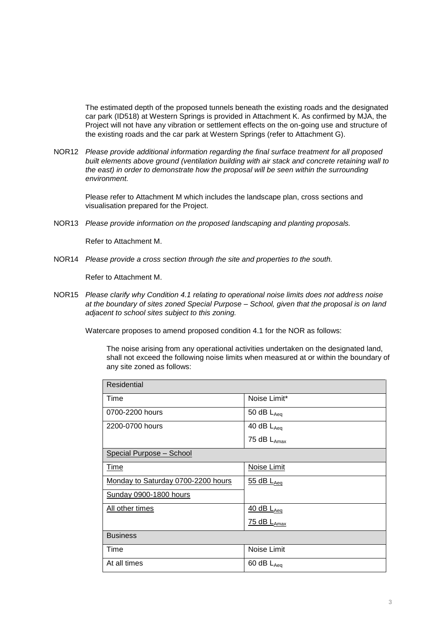The estimated depth of the proposed tunnels beneath the existing roads and the designated car park (ID518) at Western Springs is provided in Attachment K. As confirmed by MJA, the Project will not have any vibration or settlement effects on the on-going use and structure of the existing roads and the car park at Western Springs (refer to Attachment G).

NOR12 *Please provide additional information regarding the final surface treatment for all proposed built elements above ground (ventilation building with air stack and concrete retaining wall to the east) in order to demonstrate how the proposal will be seen within the surrounding environment.*

Please refer to Attachment M which includes the landscape plan, cross sections and visualisation prepared for the Project.

NOR13 *Please provide information on the proposed landscaping and planting proposals.*

Refer to Attachment M.

NOR14 *Please provide a cross section through the site and properties to the south.*

Refer to Attachment M.

NOR15 *Please clarify why Condition 4.1 relating to operational noise limits does not address noise at the boundary of sites zoned Special Purpose – School, given that the proposal is on land adjacent to school sites subject to this zoning.*

Watercare proposes to amend proposed condition 4.1 for the NOR as follows:

The noise arising from any operational activities undertaken on the designated land, shall not exceed the following noise limits when measured at or within the boundary of any site zoned as follows:

| Residential                        |                                    |
|------------------------------------|------------------------------------|
| Time                               | Noise Limit*                       |
| 0700-2200 hours                    | 50 dB $L_{Aeq}$                    |
| 2200-0700 hours                    | 40 dB $L_{Aeq}$                    |
|                                    | 75 dB LAmax                        |
| Special Purpose - School           |                                    |
| <u>Time</u>                        | Noise Limit                        |
| Monday to Saturday 0700-2200 hours | $\frac{55}{ }$ dB L <sub>Aeq</sub> |
| Sunday 0900-1800 hours             |                                    |
| All other times                    | $40$ dB $L_{Aeq}$                  |
|                                    | 75 dB LAmax                        |
| <b>Business</b>                    |                                    |
| Time                               | Noise Limit                        |
| At all times                       | 60 dB $L_{Aeq}$                    |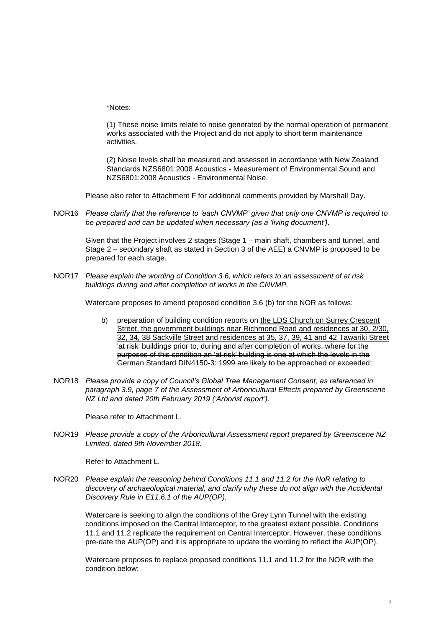\*Notes:

(1) These noise limits relate to noise generated by the normal operation of permanent works associated with the Project and do not apply to short term maintenance activities.

(2) Noise levels shall be measured and assessed in accordance with New Zealand Standards NZS6801:2008 Acoustics - Measurement of Environmental Sound and NZS6801:2008 Acoustics - Environmental Noise.

Please also refer to Attachment F for additional comments provided by Marshall Day.

NOR16 *Please clarify that the reference to 'each CNVMP' given that only one CNVMP is required to be prepared and can be updated when necessary (as a 'living document').*

Given that the Project involves 2 stages (Stage 1 – main shaft, chambers and tunnel, and Stage 2 – secondary shaft as stated in Section 3 of the AEE) a CNVMP is proposed to be prepared for each stage.

NOR17 *Please explain the wording of Condition 3.6, which refers to an assessment of at risk buildings during and after completion of works in the CNVMP.*

Watercare proposes to amend proposed condition 3.6 (b) for the NOR as follows:

- b) preparation of building condition reports on the LDS Church on Surrey Crescent Street, the government buildings near Richmond Road and residences at 30, 2/30, 32, 34, 38 Sackville Street and residences at 35, 37, 39, 41 and 42 Tawariki Street <sup>1</sup>at risk' buildings prior to, during and after completion of works, where for the purposes of this condition an 'at risk' building is one at which the levels in the German Standard DIN4150-3: 1999 are likely to be approached or exceeded;
- NOR18 *Please provide a copy of Council's Global Tree Management Consent, as referenced in paragraph 3.9, page 7 of the Assessment of Arboricultural Effects prepared by Greenscene NZ Ltd and dated 20th February 2019 ('Arborist report').*

Please refer to Attachment L.

NOR19 *Please provide a copy of the Arboricultural Assessment report prepared by Greenscene NZ Limited, dated 9th November 2018.*

Refer to Attachment L.

NOR20 *Please explain the reasoning behind Conditions 11.1 and 11.2 for the NoR relating to discovery of archaeological material, and clarify why these do not align with the Accidental Discovery Rule in E11.6.1 of the AUP(OP).*

Watercare is seeking to align the conditions of the Grey Lynn Tunnel with the existing conditions imposed on the Central Interceptor, to the greatest extent possible. Conditions 11.1 and 11.2 replicate the requirement on Central Interceptor. However, these conditions pre-date the AUP(OP) and it is appropriate to update the wording to reflect the AUP(OP).

Watercare proposes to replace proposed conditions 11.1 and 11.2 for the NOR with the condition below: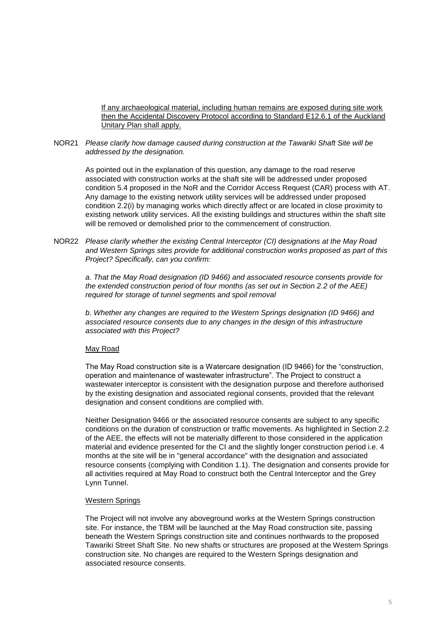If any archaeological material, including human remains are exposed during site work then the Accidental Discovery Protocol according to Standard E12.6.1 of the Auckland Unitary Plan shall apply.

NOR21 *Please clarify how damage caused during construction at the Tawariki Shaft Site will be addressed by the designation.*

As pointed out in the explanation of this question, any damage to the road reserve associated with construction works at the shaft site will be addressed under proposed condition 5.4 proposed in the NoR and the Corridor Access Request (CAR) process with AT. Any damage to the existing network utility services will be addressed under proposed condition 2.2(i) by managing works which directly affect or are located in close proximity to existing network utility services. All the existing buildings and structures within the shaft site will be removed or demolished prior to the commencement of construction.

NOR22 *Please clarify whether the existing Central Interceptor (CI) designations at the May Road and Western Springs sites provide for additional construction works proposed as part of this Project? Specifically, can you confirm:*

*a. That the May Road designation (ID 9466) and associated resource consents provide for the extended construction period of four months (as set out in Section 2.2 of the AEE) required for storage of tunnel segments and spoil removal*

*b. Whether any changes are required to the Western Springs designation (ID 9466) and associated resource consents due to any changes in the design of this infrastructure associated with this Project?*

## May Road

The May Road construction site is a Watercare designation (ID 9466) for the "construction, operation and maintenance of wastewater infrastructure". The Project to construct a wastewater interceptor is consistent with the designation purpose and therefore authorised by the existing designation and associated regional consents, provided that the relevant designation and consent conditions are complied with.

Neither Designation 9466 or the associated resource consents are subject to any specific conditions on the duration of construction or traffic movements. As highlighted in Section 2.2 of the AEE, the effects will not be materially different to those considered in the application material and evidence presented for the CI and the slightly longer construction period i.e. 4 months at the site will be in "general accordance" with the designation and associated resource consents (complying with Condition 1.1). The designation and consents provide for all activities required at May Road to construct both the Central Interceptor and the Grey Lynn Tunnel.

## Western Springs

The Project will not involve any aboveground works at the Western Springs construction site. For instance, the TBM will be launched at the May Road construction site, passing beneath the Western Springs construction site and continues northwards to the proposed Tawariki Street Shaft Site. No new shafts or structures are proposed at the Western Springs construction site. No changes are required to the Western Springs designation and associated resource consents.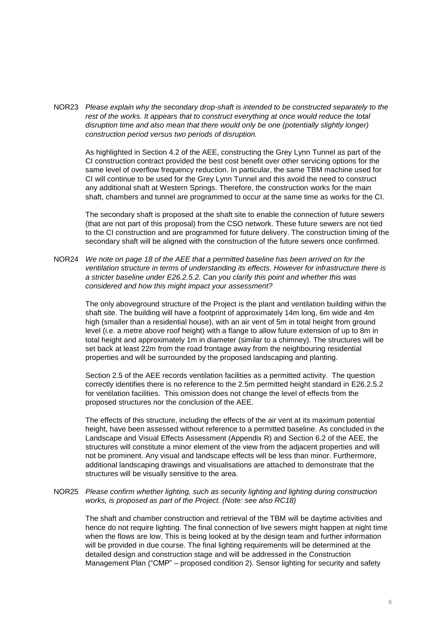NOR23 *Please explain why the secondary drop-shaft is intended to be constructed separately to the rest of the works. It appears that to construct everything at once would reduce the total disruption time and also mean that there would only be one (potentially slightly longer) construction period versus two periods of disruption.*

As highlighted in Section 4.2 of the AEE, constructing the Grey Lynn Tunnel as part of the CI construction contract provided the best cost benefit over other servicing options for the same level of overflow frequency reduction. In particular, the same TBM machine used for CI will continue to be used for the Grey Lynn Tunnel and this avoid the need to construct any additional shaft at Western Springs. Therefore, the construction works for the main shaft, chambers and tunnel are programmed to occur at the same time as works for the CI.

The secondary shaft is proposed at the shaft site to enable the connection of future sewers (that are not part of this proposal) from the CSO network. These future sewers are not tied to the CI construction and are programmed for future delivery. The construction timing of the secondary shaft will be aligned with the construction of the future sewers once confirmed.

NOR24 *We note on page 18 of the AEE that a permitted baseline has been arrived on for the ventilation structure in terms of understanding its effects. However for infrastructure there is a stricter baseline under E26.2.5.2. Can you clarify this point and whether this was considered and how this might impact your assessment?*

The only aboveground structure of the Project is the plant and ventilation building within the shaft site. The building will have a footprint of approximately 14m long, 6m wide and 4m high (smaller than a residential house), with an air vent of 5m in total height from ground level (i.e. a metre above roof height) with a flange to allow future extension of up to 8m in total height and approximately 1m in diameter (similar to a chimney). The structures will be set back at least 22m from the road frontage away from the neighbouring residential properties and will be surrounded by the proposed landscaping and planting.

Section 2.5 of the AEE records ventilation facilities as a permitted activity. The question correctly identifies there is no reference to the 2.5m permitted height standard in E26.2.5.2 for ventilation facilities. This omission does not change the level of effects from the proposed structures nor the conclusion of the AEE.

The effects of this structure, including the effects of the air vent at its maximum potential height, have been assessed without reference to a permitted baseline. As concluded in the Landscape and Visual Effects Assessment (Appendix R) and Section 6.2 of the AEE, the structures will constitute a minor element of the view from the adjacent properties and will not be prominent. Any visual and landscape effects will be less than minor. Furthermore, additional landscaping drawings and visualisations are attached to demonstrate that the structures will be visually sensitive to the area.

## NOR25 *Please confirm whether lighting, such as security lighting and lighting during construction works, is proposed as part of the Project. (Note: see also RC18)*

The shaft and chamber construction and retrieval of the TBM will be daytime activities and hence do not require lighting. The final connection of live sewers might happen at night time when the flows are low. This is being looked at by the design team and further information will be provided in due course. The final lighting requirements will be determined at the detailed design and construction stage and will be addressed in the Construction Management Plan ("CMP" – proposed condition 2). Sensor lighting for security and safety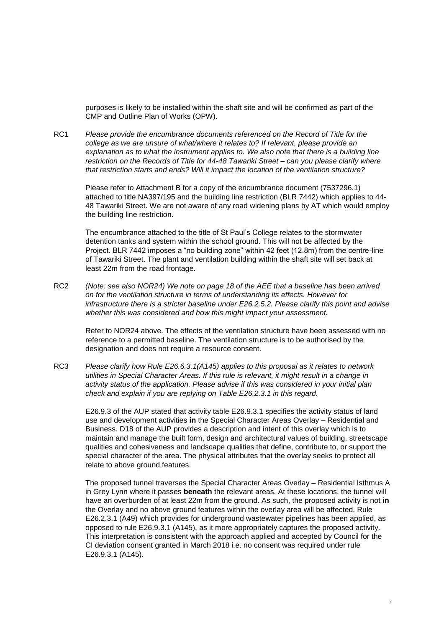purposes is likely to be installed within the shaft site and will be confirmed as part of the CMP and Outline Plan of Works (OPW).

RC1 *Please provide the encumbrance documents referenced on the Record of Title for the college as we are unsure of what/where it relates to? If relevant, please provide an explanation as to what the instrument applies to. We also note that there is a building line restriction on the Records of Title for 44-48 Tawariki Street – can you please clarify where that restriction starts and ends? Will it impact the location of the ventilation structure?*

Please refer to Attachment B for a copy of the encumbrance document (7537296.1) attached to title NA397/195 and the building line restriction (BLR 7442) which applies to 44- 48 Tawariki Street. We are not aware of any road widening plans by AT which would employ the building line restriction.

The encumbrance attached to the title of St Paul's College relates to the stormwater detention tanks and system within the school ground. This will not be affected by the Project. BLR 7442 imposes a "no building zone" within 42 feet (12.8m) from the centre-line of Tawariki Street. The plant and ventilation building within the shaft site will set back at least 22m from the road frontage.

RC2 *(Note: see also NOR24) We note on page 18 of the AEE that a baseline has been arrived on for the ventilation structure in terms of understanding its effects. However for infrastructure there is a stricter baseline under E26.2.5.2. Please clarify this point and advise whether this was considered and how this might impact your assessment.*

Refer to NOR24 above. The effects of the ventilation structure have been assessed with no reference to a permitted baseline. The ventilation structure is to be authorised by the designation and does not require a resource consent.

RC3 *Please clarify how Rule E26.6.3.1(A145) applies to this proposal as it relates to network utilities in Special Character Areas. If this rule is relevant, it might result in a change in activity status of the application. Please advise if this was considered in your initial plan check and explain if you are replying on Table E26.2.3.1 in this regard.*

E26.9.3 of the AUP stated that activity table E26.9.3.1 specifies the activity status of land use and development activities **in** the Special Character Areas Overlay – Residential and Business. D18 of the AUP provides a description and intent of this overlay which is to maintain and manage the built form, design and architectural values of building, streetscape qualities and cohesiveness and landscape qualities that define, contribute to, or support the special character of the area. The physical attributes that the overlay seeks to protect all relate to above ground features.

The proposed tunnel traverses the Special Character Areas Overlay – Residential Isthmus A in Grey Lynn where it passes **beneath** the relevant areas. At these locations, the tunnel will have an overburden of at least 22m from the ground. As such, the proposed activity is not **in** the Overlay and no above ground features within the overlay area will be affected. Rule E26.2.3.1 (A49) which provides for underground wastewater pipelines has been applied, as opposed to rule E26.9.3.1 (A145), as it more appropriately captures the proposed activity. This interpretation is consistent with the approach applied and accepted by Council for the CI deviation consent granted in March 2018 i.e. no consent was required under rule E26.9.3.1 (A145).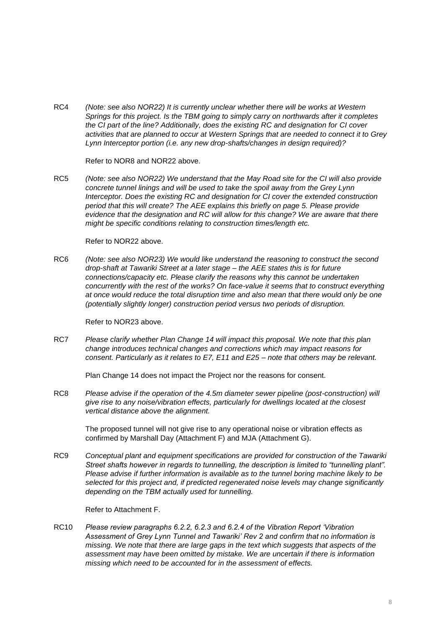RC4 *(Note: see also NOR22) It is currently unclear whether there will be works at Western Springs for this project. Is the TBM going to simply carry on northwards after it completes the CI part of the line? Additionally, does the existing RC and designation for CI cover activities that are planned to occur at Western Springs that are needed to connect it to Grey Lynn Interceptor portion (i.e. any new drop-shafts/changes in design required)?*

Refer to NOR8 and NOR22 above.

RC5 *(Note: see also NOR22) We understand that the May Road site for the CI will also provide concrete tunnel linings and will be used to take the spoil away from the Grey Lynn Interceptor. Does the existing RC and designation for CI cover the extended construction period that this will create? The AEE explains this briefly on page 5. Please provide evidence that the designation and RC will allow for this change? We are aware that there might be specific conditions relating to construction times/length etc.*

Refer to NOR22 above.

RC6 *(Note: see also NOR23) We would like understand the reasoning to construct the second drop-shaft at Tawariki Street at a later stage – the AEE states this is for future connections/capacity etc. Please clarify the reasons why this cannot be undertaken concurrently with the rest of the works? On face-value it seems that to construct everything at once would reduce the total disruption time and also mean that there would only be one (potentially slightly longer) construction period versus two periods of disruption.*

Refer to NOR23 above.

RC7 *Please clarify whether Plan Change 14 will impact this proposal. We note that this plan change introduces technical changes and corrections which may impact reasons for consent. Particularly as it relates to E7, E11 and E25 – note that others may be relevant.*

Plan Change 14 does not impact the Project nor the reasons for consent.

RC8 *Please advise if the operation of the 4.5m diameter sewer pipeline (post-construction) will give rise to any noise/vibration effects, particularly for dwellings located at the closest vertical distance above the alignment.*

The proposed tunnel will not give rise to any operational noise or vibration effects as confirmed by Marshall Day (Attachment F) and MJA (Attachment G).

RC9 *Conceptual plant and equipment specifications are provided for construction of the Tawariki Street shafts however in regards to tunnelling, the description is limited to "tunnelling plant". Please advise if further information is available as to the tunnel boring machine likely to be selected for this project and, if predicted regenerated noise levels may change significantly depending on the TBM actually used for tunnelling.*

Refer to Attachment F.

RC10 *Please review paragraphs 6.2.2, 6.2.3 and 6.2.4 of the Vibration Report 'Vibration Assessment of Grey Lynn Tunnel and Tawariki' Rev 2 and confirm that no information is missing. We note that there are large gaps in the text which suggests that aspects of the assessment may have been omitted by mistake. We are uncertain if there is information missing which need to be accounted for in the assessment of effects.*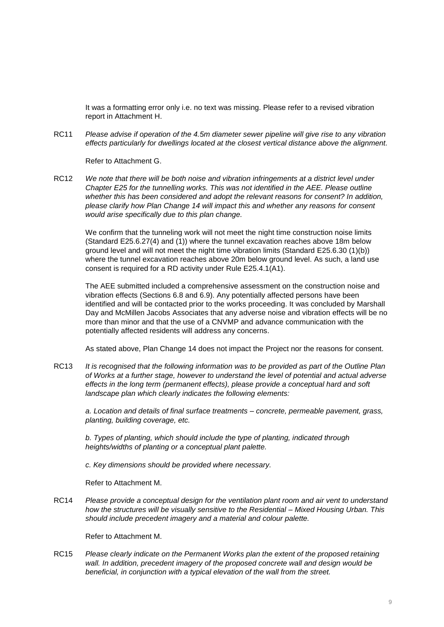It was a formatting error only i.e. no text was missing. Please refer to a revised vibration report in Attachment H.

RC11 *Please advise if operation of the 4.5m diameter sewer pipeline will give rise to any vibration effects particularly for dwellings located at the closest vertical distance above the alignment.*

Refer to Attachment G.

RC12 *We note that there will be both noise and vibration infringements at a district level under Chapter E25 for the tunnelling works. This was not identified in the AEE. Please outline whether this has been considered and adopt the relevant reasons for consent? In addition, please clarify how Plan Change 14 will impact this and whether any reasons for consent would arise specifically due to this plan change.*

We confirm that the tunneling work will not meet the night time construction noise limits (Standard E25.6.27(4) and (1)) where the tunnel excavation reaches above 18m below ground level and will not meet the night time vibration limits (Standard E25.6.30 (1)(b)) where the tunnel excavation reaches above 20m below ground level. As such, a land use consent is required for a RD activity under Rule E25.4.1(A1).

The AEE submitted included a comprehensive assessment on the construction noise and vibration effects (Sections 6.8 and 6.9). Any potentially affected persons have been identified and will be contacted prior to the works proceeding. It was concluded by Marshall Day and McMillen Jacobs Associates that any adverse noise and vibration effects will be no more than minor and that the use of a CNVMP and advance communication with the potentially affected residents will address any concerns.

As stated above, Plan Change 14 does not impact the Project nor the reasons for consent.

RC13 *It is recognised that the following information was to be provided as part of the Outline Plan of Works at a further stage, however to understand the level of potential and actual adverse effects in the long term (permanent effects), please provide a conceptual hard and soft landscape plan which clearly indicates the following elements:*

*a. Location and details of final surface treatments – concrete, permeable pavement, grass, planting, building coverage, etc.*

*b. Types of planting, which should include the type of planting, indicated through heights/widths of planting or a conceptual plant palette.*

*c. Key dimensions should be provided where necessary.*

Refer to Attachment M.

RC14 *Please provide a conceptual design for the ventilation plant room and air vent to understand how the structures will be visually sensitive to the Residential – Mixed Housing Urban. This should include precedent imagery and a material and colour palette.*

Refer to Attachment M.

RC15 *Please clearly indicate on the Permanent Works plan the extent of the proposed retaining wall. In addition, precedent imagery of the proposed concrete wall and design would be beneficial, in conjunction with a typical elevation of the wall from the street.*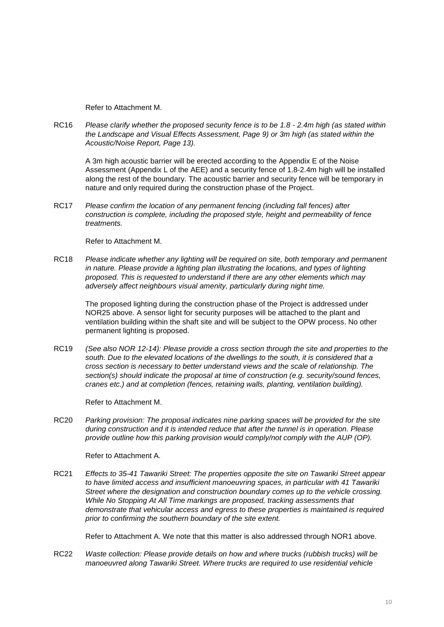Refer to Attachment M.

RC16 *Please clarify whether the proposed security fence is to be 1.8 - 2.4m high (as stated within the Landscape and Visual Effects Assessment, Page 9) or 3m high (as stated within the Acoustic/Noise Report, Page 13).*

A 3m high acoustic barrier will be erected according to the Appendix E of the Noise Assessment (Appendix L of the AEE) and a security fence of 1.8-2.4m high will be installed along the rest of the boundary. The acoustic barrier and security fence will be temporary in nature and only required during the construction phase of the Project.

RC17 *Please confirm the location of any permanent fencing (including fall fences) after construction is complete, including the proposed style, height and permeability of fence treatments.*

Refer to Attachment M.

RC18 *Please indicate whether any lighting will be required on site, both temporary and permanent in nature. Please provide a lighting plan illustrating the locations, and types of lighting proposed. This is requested to understand if there are any other elements which may adversely affect neighbours visual amenity, particularly during night time.*

The proposed lighting during the construction phase of the Project is addressed under NOR25 above. A sensor light for security purposes will be attached to the plant and ventilation building within the shaft site and will be subject to the OPW process. No other permanent lighting is proposed.

RC19 *(See also NOR 12-14): Please provide a cross section through the site and properties to the*  south. Due to the elevated locations of the dwellings to the south, it is considered that a *cross section is necessary to better understand views and the scale of relationship. The section(s) should indicate the proposal at time of construction (e.g. security/sound fences, cranes etc.) and at completion (fences, retaining walls, planting, ventilation building).*

Refer to Attachment M.

RC20 *Parking provision: The proposal indicates nine parking spaces will be provided for the site during construction and it is intended reduce that after the tunnel is in operation. Please provide outline how this parking provision would comply/not comply with the AUP (OP).*

Refer to Attachment A.

RC21 *Effects to 35-41 Tawariki Street: The properties opposite the site on Tawariki Street appear to have limited access and insufficient manoeuvring spaces, in particular with 41 Tawariki Street where the designation and construction boundary comes up to the vehicle crossing. While No Stopping At All Time markings are proposed, tracking assessments that demonstrate that vehicular access and egress to these properties is maintained is required prior to confirming the southern boundary of the site extent.*

Refer to Attachment A. We note that this matter is also addressed through NOR1 above.

RC22 *Waste collection: Please provide details on how and where trucks (rubbish trucks) will be manoeuvred along Tawariki Street. Where trucks are required to use residential vehicle*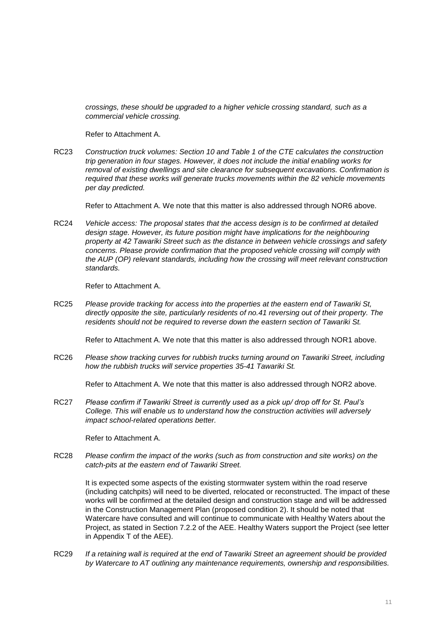*crossings, these should be upgraded to a higher vehicle crossing standard, such as a commercial vehicle crossing.*

Refer to Attachment A.

RC23 *Construction truck volumes: Section 10 and Table 1 of the CTE calculates the construction trip generation in four stages. However, it does not include the initial enabling works for removal of existing dwellings and site clearance for subsequent excavations. Confirmation is required that these works will generate trucks movements within the 82 vehicle movements per day predicted.*

Refer to Attachment A. We note that this matter is also addressed through NOR6 above.

RC24 *Vehicle access: The proposal states that the access design is to be confirmed at detailed*  design stage. However, its future position might have implications for the neighbouring *property at 42 Tawariki Street such as the distance in between vehicle crossings and safety concerns. Please provide confirmation that the proposed vehicle crossing will comply with the AUP (OP) relevant standards, including how the crossing will meet relevant construction standards.*

Refer to Attachment A.

RC25 *Please provide tracking for access into the properties at the eastern end of Tawariki St, directly opposite the site, particularly residents of no.41 reversing out of their property. The residents should not be required to reverse down the eastern section of Tawariki St.*

Refer to Attachment A. We note that this matter is also addressed through NOR1 above.

RC26 *Please show tracking curves for rubbish trucks turning around on Tawariki Street, including how the rubbish trucks will service properties 35-41 Tawariki St.*

Refer to Attachment A. We note that this matter is also addressed through NOR2 above.

RC27 *Please confirm if Tawariki Street is currently used as a pick up/ drop off for St. Paul's College. This will enable us to understand how the construction activities will adversely impact school-related operations better.*

Refer to Attachment A.

RC28 *Please confirm the impact of the works (such as from construction and site works) on the catch-pits at the eastern end of Tawariki Street.*

It is expected some aspects of the existing stormwater system within the road reserve (including catchpits) will need to be diverted, relocated or reconstructed. The impact of these works will be confirmed at the detailed design and construction stage and will be addressed in the Construction Management Plan (proposed condition 2). It should be noted that Watercare have consulted and will continue to communicate with Healthy Waters about the Project, as stated in Section 7.2.2 of the AEE. Healthy Waters support the Project (see letter in Appendix T of the AEE).

RC29 *If a retaining wall is required at the end of Tawariki Street an agreement should be provided by Watercare to AT outlining any maintenance requirements, ownership and responsibilities.*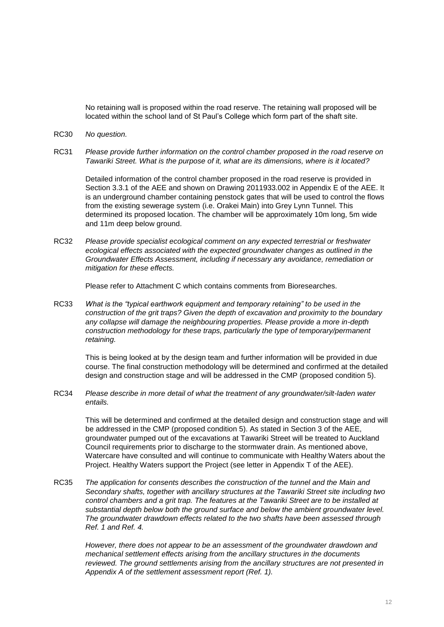No retaining wall is proposed within the road reserve. The retaining wall proposed will be located within the school land of St Paul's College which form part of the shaft site.

- RC30 *No question.*
- RC31 *Please provide further information on the control chamber proposed in the road reserve on Tawariki Street. What is the purpose of it, what are its dimensions, where is it located?*

Detailed information of the control chamber proposed in the road reserve is provided in Section 3.3.1 of the AEE and shown on Drawing 2011933.002 in Appendix E of the AEE. It is an underground chamber containing penstock gates that will be used to control the flows from the existing sewerage system (i.e. Orakei Main) into Grey Lynn Tunnel. This determined its proposed location. The chamber will be approximately 10m long, 5m wide and 11m deep below ground.

RC32 *Please provide specialist ecological comment on any expected terrestrial or freshwater ecological effects associated with the expected groundwater changes as outlined in the Groundwater Effects Assessment, including if necessary any avoidance, remediation or mitigation for these effects.*

Please refer to Attachment C which contains comments from Bioresearches.

RC33 *What is the "typical earthwork equipment and temporary retaining" to be used in the construction of the grit traps? Given the depth of excavation and proximity to the boundary any collapse will damage the neighbouring properties. Please provide a more in-depth construction methodology for these traps, particularly the type of temporary/permanent retaining.*

This is being looked at by the design team and further information will be provided in due course. The final construction methodology will be determined and confirmed at the detailed design and construction stage and will be addressed in the CMP (proposed condition 5).

RC34 *Please describe in more detail of what the treatment of any groundwater/silt-laden water entails.*

This will be determined and confirmed at the detailed design and construction stage and will be addressed in the CMP (proposed condition 5). As stated in Section 3 of the AEE, groundwater pumped out of the excavations at Tawariki Street will be treated to Auckland Council requirements prior to discharge to the stormwater drain. As mentioned above, Watercare have consulted and will continue to communicate with Healthy Waters about the Project. Healthy Waters support the Project (see letter in Appendix T of the AEE).

RC35 *The application for consents describes the construction of the tunnel and the Main and Secondary shafts, together with ancillary structures at the Tawariki Street site including two control chambers and a grit trap. The features at the Tawariki Street are to be installed at substantial depth below both the ground surface and below the ambient groundwater level. The groundwater drawdown effects related to the two shafts have been assessed through Ref. 1 and Ref. 4.*

*However, there does not appear to be an assessment of the groundwater drawdown and mechanical settlement effects arising from the ancillary structures in the documents reviewed. The ground settlements arising from the ancillary structures are not presented in Appendix A of the settlement assessment report (Ref. 1).*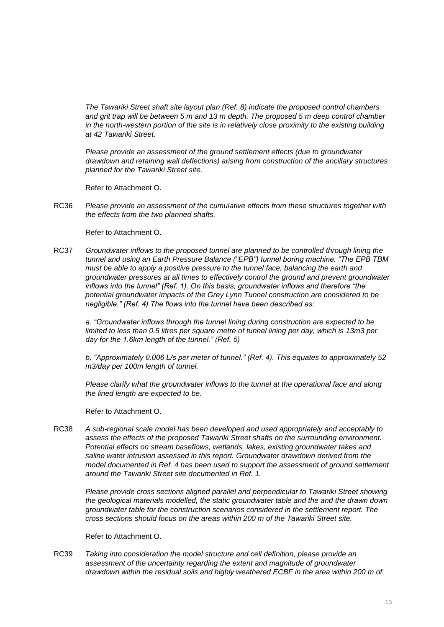*The Tawariki Street shaft site layout plan (Ref. 8) indicate the proposed control chambers and grit trap will be between 5 m and 13 m depth. The proposed 5 m deep control chamber in the north-western portion of the site is in relatively close proximity to the existing building at 42 Tawariki Street.*

*Please provide an assessment of the ground settlement effects (due to groundwater drawdown and retaining wall deflections) arising from construction of the ancillary structures planned for the Tawariki Street site.*

Refer to Attachment O.

RC36 *Please provide an assessment of the cumulative effects from these structures together with the effects from the two planned shafts.*

Refer to Attachment O.

RC37 *Groundwater inflows to the proposed tunnel are planned to be controlled through lining the tunnel and using an Earth Pressure Balance ("EPB") tunnel boring machine. "The EPB TBM must be able to apply a positive pressure to the tunnel face, balancing the earth and groundwater pressures at all times to effectively control the ground and prevent groundwater inflows into the tunnel" (Ref. 1). On this basis, groundwater inflows and therefore "the potential groundwater impacts of the Grey Lynn Tunnel construction are considered to be negligible." (Ref. 4) The flows into the tunnel have been described as:*

*a. "Groundwater inflows through the tunnel lining during construction are expected to be limited to less than 0.5 litres per square metre of tunnel lining per day, which is 13m3 per day for the 1.6km length of the tunnel." (Ref. 5)*

*b. "Approximately 0.006 L/s per meter of tunnel." (Ref. 4). This equates to approximately 52 m3/day per 100m length of tunnel.*

*Please clarify what the groundwater inflows to the tunnel at the operational face and along the lined length are expected to be.*

Refer to Attachment O.

RC38 *A sub-regional scale model has been developed and used appropriately and acceptably to assess the effects of the proposed Tawariki Street shafts on the surrounding environment. Potential effects on stream baseflows, wetlands, lakes, existing groundwater takes and saline water intrusion assessed in this report. Groundwater drawdown derived from the model documented in Ref. 4 has been used to support the assessment of ground settlement around the Tawariki Street site documented in Ref. 1.*

*Please provide cross sections aligned parallel and perpendicular to Tawariki Street showing the geological materials modelled, the static groundwater table and the and the drawn down groundwater table for the construction scenarios considered in the settlement report. The cross sections should focus on the areas within 200 m of the Tawariki Street site.*

Refer to Attachment O.

RC39 *Taking into consideration the model structure and cell definition, please provide an assessment of the uncertainty regarding the extent and magnitude of groundwater drawdown within the residual soils and highly weathered ECBF in the area within 200 m of*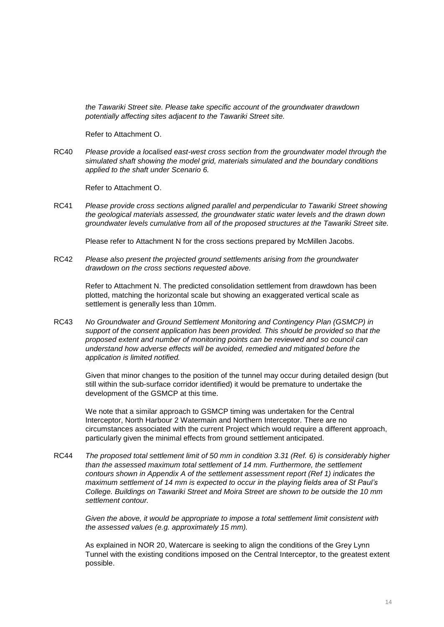*the Tawariki Street site. Please take specific account of the groundwater drawdown potentially affecting sites adjacent to the Tawariki Street site.*

Refer to Attachment O.

RC40 *Please provide a localised east-west cross section from the groundwater model through the simulated shaft showing the model grid, materials simulated and the boundary conditions applied to the shaft under Scenario 6.*

Refer to Attachment O.

RC41 *Please provide cross sections aligned parallel and perpendicular to Tawariki Street showing the geological materials assessed, the groundwater static water levels and the drawn down groundwater levels cumulative from all of the proposed structures at the Tawariki Street site.*

Please refer to Attachment N for the cross sections prepared by McMillen Jacobs.

RC42 *Please also present the projected ground settlements arising from the groundwater drawdown on the cross sections requested above.*

> Refer to Attachment N. The predicted consolidation settlement from drawdown has been plotted, matching the horizontal scale but showing an exaggerated vertical scale as settlement is generally less than 10mm.

RC43 *No Groundwater and Ground Settlement Monitoring and Contingency Plan (GSMCP) in support of the consent application has been provided. This should be provided so that the proposed extent and number of monitoring points can be reviewed and so council can understand how adverse effects will be avoided, remedied and mitigated before the application is limited notified.*

Given that minor changes to the position of the tunnel may occur during detailed design (but still within the sub-surface corridor identified) it would be premature to undertake the development of the GSMCP at this time.

We note that a similar approach to GSMCP timing was undertaken for the Central Interceptor, North Harbour 2 Watermain and Northern Interceptor. There are no circumstances associated with the current Project which would require a different approach, particularly given the minimal effects from ground settlement anticipated.

RC44 *The proposed total settlement limit of 50 mm in condition 3.31 (Ref. 6) is considerably higher than the assessed maximum total settlement of 14 mm. Furthermore, the settlement contours shown in Appendix A of the settlement assessment report (Ref 1) indicates the maximum settlement of 14 mm is expected to occur in the playing fields area of St Paul's College. Buildings on Tawariki Street and Moira Street are shown to be outside the 10 mm settlement contour.*

*Given the above, it would be appropriate to impose a total settlement limit consistent with the assessed values (e.g. approximately 15 mm).*

As explained in NOR 20, Watercare is seeking to align the conditions of the Grey Lynn Tunnel with the existing conditions imposed on the Central Interceptor, to the greatest extent possible.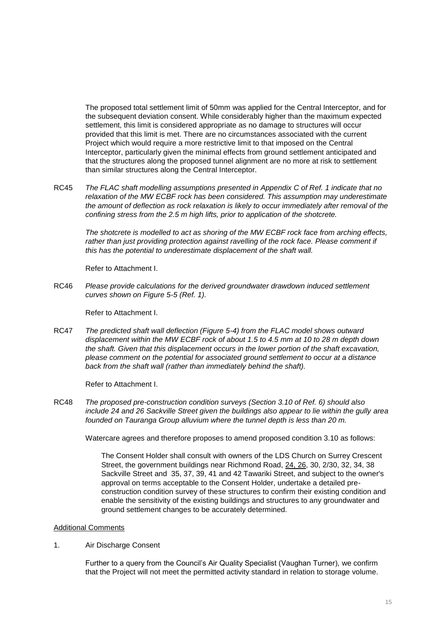The proposed total settlement limit of 50mm was applied for the Central Interceptor, and for the subsequent deviation consent. While considerably higher than the maximum expected settlement, this limit is considered appropriate as no damage to structures will occur provided that this limit is met. There are no circumstances associated with the current Project which would require a more restrictive limit to that imposed on the Central Interceptor, particularly given the minimal effects from ground settlement anticipated and that the structures along the proposed tunnel alignment are no more at risk to settlement than similar structures along the Central Interceptor.

RC45 *The FLAC shaft modelling assumptions presented in Appendix C of Ref. 1 indicate that no relaxation of the MW ECBF rock has been considered. This assumption may underestimate the amount of deflection as rock relaxation is likely to occur immediately after removal of the confining stress from the 2.5 m high lifts, prior to application of the shotcrete.*

*The shotcrete is modelled to act as shoring of the MW ECBF rock face from arching effects,*  rather than just providing protection against ravelling of the rock face. Please comment if *this has the potential to underestimate displacement of the shaft wall.*

Refer to Attachment I.

RC46 *Please provide calculations for the derived groundwater drawdown induced settlement curves shown on Figure 5-5 (Ref. 1).*

Refer to Attachment I.

RC47 *The predicted shaft wall deflection (Figure 5-4) from the FLAC model shows outward displacement within the MW ECBF rock of about 1.5 to 4.5 mm at 10 to 28 m depth down the shaft. Given that this displacement occurs in the lower portion of the shaft excavation, please comment on the potential for associated ground settlement to occur at a distance back from the shaft wall (rather than immediately behind the shaft).*

Refer to Attachment I.

RC48 *The proposed pre-construction condition surveys (Section 3.10 of Ref. 6) should also include 24 and 26 Sackville Street given the buildings also appear to lie within the gully area founded on Tauranga Group alluvium where the tunnel depth is less than 20 m.*

Watercare agrees and therefore proposes to amend proposed condition 3.10 as follows:

The Consent Holder shall consult with owners of the LDS Church on Surrey Crescent Street, the government buildings near Richmond Road, 24, 26, 30, 2/30, 32, 34, 38 Sackville Street and 35, 37, 39, 41 and 42 Tawariki Street, and subject to the owner's approval on terms acceptable to the Consent Holder, undertake a detailed preconstruction condition survey of these structures to confirm their existing condition and enable the sensitivity of the existing buildings and structures to any groundwater and ground settlement changes to be accurately determined.

## Additional Comments

1. Air Discharge Consent

Further to a query from the Council's Air Quality Specialist (Vaughan Turner), we confirm that the Project will not meet the permitted activity standard in relation to storage volume.